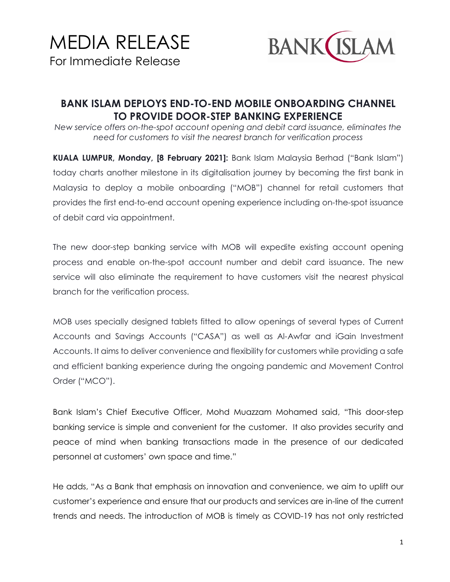

## **BANK ISLAM DEPLOYS END-TO-END MOBILE ONBOARDING CHANNEL TO PROVIDE DOOR-STEP BANKING EXPERIENCE**

*New service offers on-the-spot account opening and debit card issuance, eliminates the need for customers to visit the nearest branch for verification process*

**KUALA LUMPUR, Monday, [8 February 2021]:** Bank Islam Malaysia Berhad ("Bank Islam") today charts another milestone in its digitalisation journey by becoming the first bank in Malaysia to deploy a mobile onboarding ("MOB") channel for retail customers that provides the first end-to-end account opening experience including on-the-spot issuance of debit card via appointment.

The new door-step banking service with MOB will expedite existing account opening process and enable on-the-spot account number and debit card issuance. The new service will also eliminate the requirement to have customers visit the nearest physical branch for the verification process.

MOB uses specially designed tablets fitted to allow openings of several types of Current Accounts and Savings Accounts ("CASA") as well as Al-Awfar and iGain Investment Accounts. It aims to deliver convenience and flexibility for customers while providing a safe and efficient banking experience during the ongoing pandemic and Movement Control Order ("MCO").

Bank Islam's Chief Executive Officer, Mohd Muazzam Mohamed said, "This door-step banking service is simple and convenient for the customer. It also provides security and peace of mind when banking transactions made in the presence of our dedicated personnel at customers' own space and time."

He adds, "As a Bank that emphasis on innovation and convenience, we aim to uplift our customer's experience and ensure that our products and services are in-line of the current trends and needs. The introduction of MOB is timely as COVID-19 has not only restricted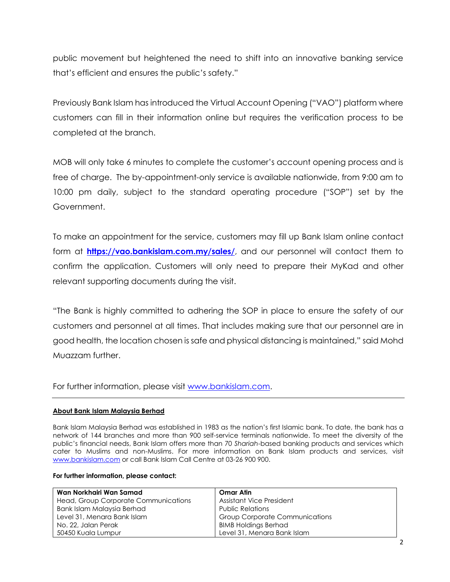public movement but heightened the need to shift into an innovative banking service that's efficient and ensures the public's safety."

Previously Bank Islam has introduced the Virtual Account Opening ("VAO") platform where customers can fill in their information online but requires the verification process to be completed at the branch.

MOB will only take 6 minutes to complete the customer's account opening process and is free of charge. The by-appointment-only service is available nationwide, from 9:00 am to 10:00 pm daily, subject to the standard operating procedure ("SOP") set by the Government.

To make an appointment for the service, customers may fill up Bank Islam online contact form at **<https://vao.bankislam.com.my/sales/>**, and our personnel will contact them to confirm the application. Customers will only need to prepare their MyKad and other relevant supporting documents during the visit.

"The Bank is highly committed to adhering the SOP in place to ensure the safety of our customers and personnel at all times. That includes making sure that our personnel are in good health, the location chosen is safe and physical distancing is maintained," said Mohd Muazzam further.

For further information, please visit [www.bankislam.com.](http://www.bankislam.com/)

## **About Bank Islam Malaysia Berhad**

Bank Islam Malaysia Berhad was established in 1983 as the nation's first Islamic bank. To date, the bank has a network of 144 branches and more than 900 self-service terminals nationwide. To meet the diversity of the public's financial needs, Bank Islam offers more than 70 *Shariah*-based banking products and services which cater to Muslims and non-Muslims. For more information on Bank Islam products and services, visit [www.bankislam.com](http://www.bankislam.com/) or call Bank Islam Call Centre at 03-26 900 900.

## **For further information, please contact:**

| Wan Norkhairi Wan Samad              | Omar Atin                             |
|--------------------------------------|---------------------------------------|
| Head, Group Corporate Communications | <b>Assistant Vice President</b>       |
| Bank Islam Malaysia Berhad           | <b>Public Relations</b>               |
| Level 31, Menara Bank Islam          | <b>Group Corporate Communications</b> |
| No. 22, Jalan Perak                  | <b>BIMB Holdings Berhad</b>           |
| 50450 Kuala Lumpur                   | Level 31, Menara Bank Islam           |